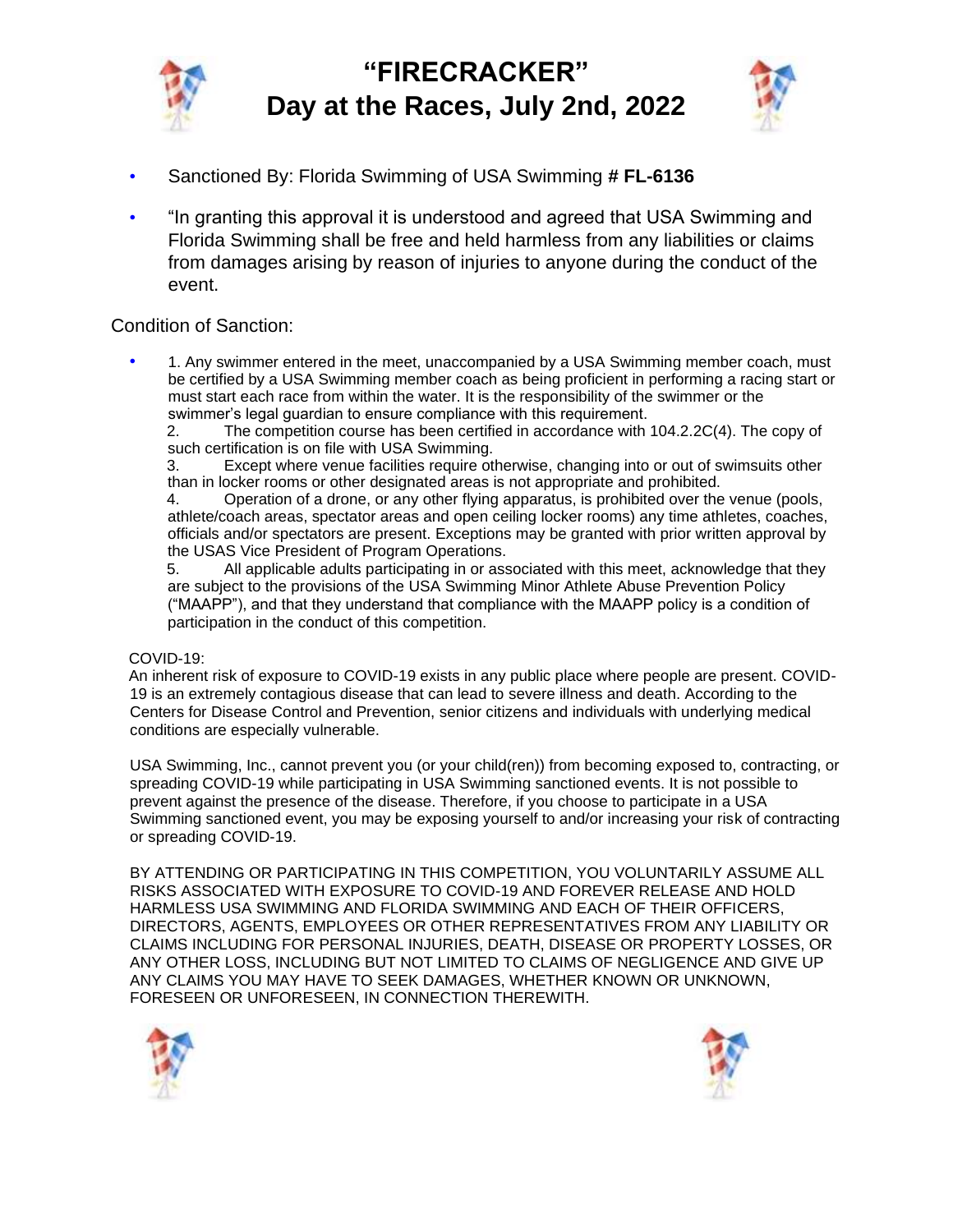

# **"FIRECRACKER" Day at the Races, July 2nd, 2022**



- Sanctioned By: Florida Swimming of USA Swimming **# FL-6136**
- "In granting this approval it is understood and agreed that USA Swimming and Florida Swimming shall be free and held harmless from any liabilities or claims from damages arising by reason of injuries to anyone during the conduct of the event.

#### Condition of Sanction:

• 1. Any swimmer entered in the meet, unaccompanied by a USA Swimming member coach, must be certified by a USA Swimming member coach as being proficient in performing a racing start or must start each race from within the water. It is the responsibility of the swimmer or the swimmer's legal guardian to ensure compliance with this requirement.

2. The competition course has been certified in accordance with 104.2.2C(4). The copy of such certification is on file with USA Swimming.

3. Except where venue facilities require otherwise, changing into or out of swimsuits other than in locker rooms or other designated areas is not appropriate and prohibited.

4. Operation of a drone, or any other flying apparatus, is prohibited over the venue (pools, athlete/coach areas, spectator areas and open ceiling locker rooms) any time athletes, coaches, officials and/or spectators are present. Exceptions may be granted with prior written approval by the USAS Vice President of Program Operations.

5. All applicable adults participating in or associated with this meet, acknowledge that they are subject to the provisions of the USA Swimming Minor Athlete Abuse Prevention Policy ("MAAPP"), and that they understand that compliance with the MAAPP policy is a condition of participation in the conduct of this competition.

#### COVID-19:

An inherent risk of exposure to COVID-19 exists in any public place where people are present. COVID-19 is an extremely contagious disease that can lead to severe illness and death. According to the Centers for Disease Control and Prevention, senior citizens and individuals with underlying medical conditions are especially vulnerable.

USA Swimming, Inc., cannot prevent you (or your child(ren)) from becoming exposed to, contracting, or spreading COVID-19 while participating in USA Swimming sanctioned events. It is not possible to prevent against the presence of the disease. Therefore, if you choose to participate in a USA Swimming sanctioned event, you may be exposing yourself to and/or increasing your risk of contracting or spreading COVID-19.

BY ATTENDING OR PARTICIPATING IN THIS COMPETITION, YOU VOLUNTARILY ASSUME ALL RISKS ASSOCIATED WITH EXPOSURE TO COVID-19 AND FOREVER RELEASE AND HOLD HARMLESS USA SWIMMING AND FLORIDA SWIMMING AND EACH OF THEIR OFFICERS, DIRECTORS, AGENTS, EMPLOYEES OR OTHER REPRESENTATIVES FROM ANY LIABILITY OR CLAIMS INCLUDING FOR PERSONAL INJURIES, DEATH, DISEASE OR PROPERTY LOSSES, OR ANY OTHER LOSS, INCLUDING BUT NOT LIMITED TO CLAIMS OF NEGLIGENCE AND GIVE UP ANY CLAIMS YOU MAY HAVE TO SEEK DAMAGES, WHETHER KNOWN OR UNKNOWN, FORESEEN OR UNFORESEEN, IN CONNECTION THEREWITH.



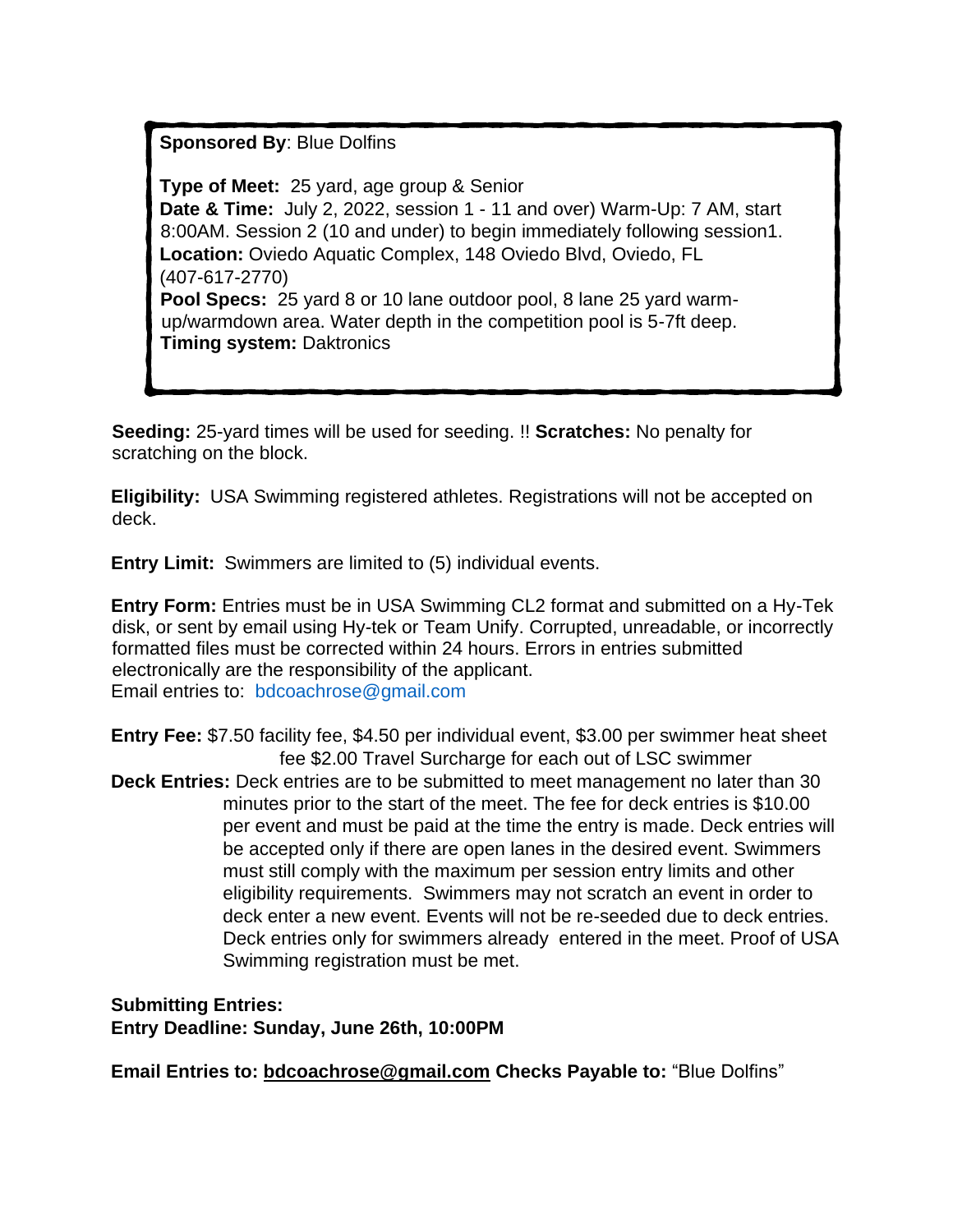### **Sponsored By**: Blue Dolfins

**Type of Meet:** 25 yard, age group & Senior **Date & Time:** July 2, 2022, session 1 - 11 and over) Warm-Up: 7 AM, start 8:00AM. Session 2 (10 and under) to begin immediately following session1. **Location:** Oviedo Aquatic Complex, 148 Oviedo Blvd, Oviedo, FL (407-617-2770) **Pool Specs:** 25 yard 8 or 10 lane outdoor pool, 8 lane 25 yard warmup/warmdown area. Water depth in the competition pool is 5-7ft deep. **Timing system:** Daktronics

**Seeding:** 25-yard times will be used for seeding. !! **Scratches:** No penalty for scratching on the block.

**Eligibility:** USA Swimming registered athletes. Registrations will not be accepted on deck.

**Entry Limit:** Swimmers are limited to (5) individual events.

**Entry Form:** Entries must be in USA Swimming CL2 format and submitted on a Hy-Tek disk, or sent by email using Hy-tek or Team Unify. Corrupted, unreadable, or incorrectly formatted files must be corrected within 24 hours. Errors in entries submitted electronically are the responsibility of the applicant. Email entries to: bdcoachrose@gmail.com

**Entry Fee:** \$7.50 facility fee, \$4.50 per individual event, \$3.00 per swimmer heat sheet fee \$2.00 Travel Surcharge for each out of LSC swimmer **Deck Entries:** Deck entries are to be submitted to meet management no later than 30 minutes prior to the start of the meet. The fee for deck entries is \$10.00 per event and must be paid at the time the entry is made. Deck entries will be accepted only if there are open lanes in the desired event. Swimmers must still comply with the maximum per session entry limits and other eligibility requirements. Swimmers may not scratch an event in order to deck enter a new event. Events will not be re-seeded due to deck entries. Deck entries only for swimmers already entered in the meet. Proof of USA Swimming registration must be met.

**Submitting Entries: Entry Deadline: Sunday, June 26th, 10:00PM** 

**Email Entries to: bdcoachrose@gmail.com Checks Payable to:** "Blue Dolfins"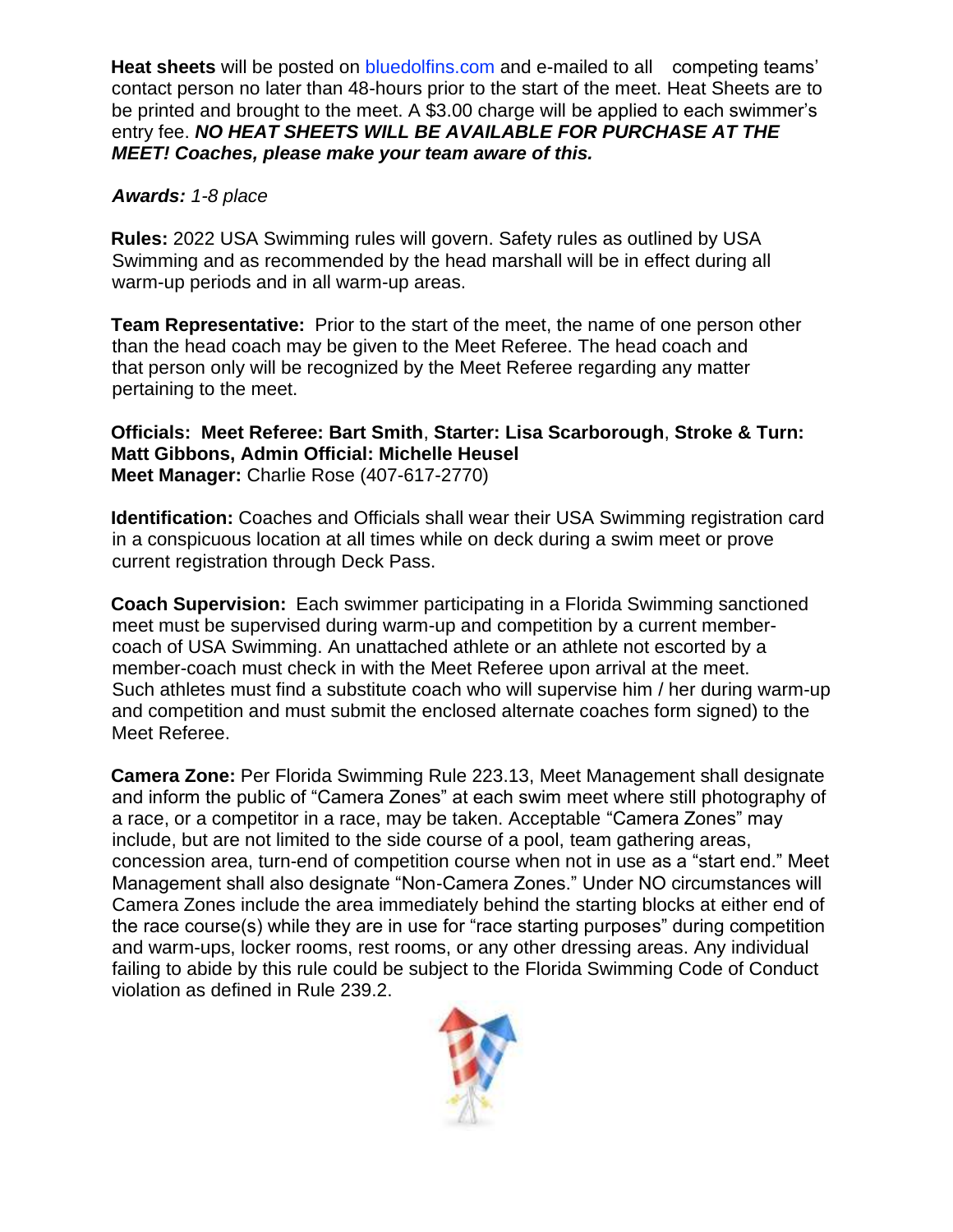**Heat sheets** will be posted on bluedolfins.com and e-mailed to all competing teams' contact person no later than 48-hours prior to the start of the meet. Heat Sheets are to be printed and brought to the meet. A \$3.00 charge will be applied to each swimmer's entry fee. *NO HEAT SHEETS WILL BE AVAILABLE FOR PURCHASE AT THE MEET! Coaches, please make your team aware of this.* 

### *Awards: 1-8 place*

**Rules:** 2022 USA Swimming rules will govern. Safety rules as outlined by USA Swimming and as recommended by the head marshall will be in effect during all warm-up periods and in all warm-up areas.

**Team Representative:** Prior to the start of the meet, the name of one person other than the head coach may be given to the Meet Referee. The head coach and that person only will be recognized by the Meet Referee regarding any matter pertaining to the meet.

### **Officials: Meet Referee: Bart Smith**, **Starter: Lisa Scarborough**, **Stroke & Turn: Matt Gibbons, Admin Official: Michelle Heusel Meet Manager:** Charlie Rose (407-617-2770)

**Identification:** Coaches and Officials shall wear their USA Swimming registration card in a conspicuous location at all times while on deck during a swim meet or prove current registration through Deck Pass.

**Coach Supervision:** Each swimmer participating in a Florida Swimming sanctioned meet must be supervised during warm-up and competition by a current membercoach of USA Swimming. An unattached athlete or an athlete not escorted by a member-coach must check in with the Meet Referee upon arrival at the meet. Such athletes must find a substitute coach who will supervise him / her during warm-up and competition and must submit the enclosed alternate coaches form signed) to the Meet Referee.

**Camera Zone:** Per Florida Swimming Rule 223.13, Meet Management shall designate and inform the public of "Camera Zones" at each swim meet where still photography of a race, or a competitor in a race, may be taken. Acceptable "Camera Zones" may include, but are not limited to the side course of a pool, team gathering areas, concession area, turn-end of competition course when not in use as a "start end." Meet Management shall also designate "Non-Camera Zones." Under NO circumstances will Camera Zones include the area immediately behind the starting blocks at either end of the race course(s) while they are in use for "race starting purposes" during competition and warm-ups, locker rooms, rest rooms, or any other dressing areas. Any individual failing to abide by this rule could be subject to the Florida Swimming Code of Conduct violation as defined in Rule 239.2.

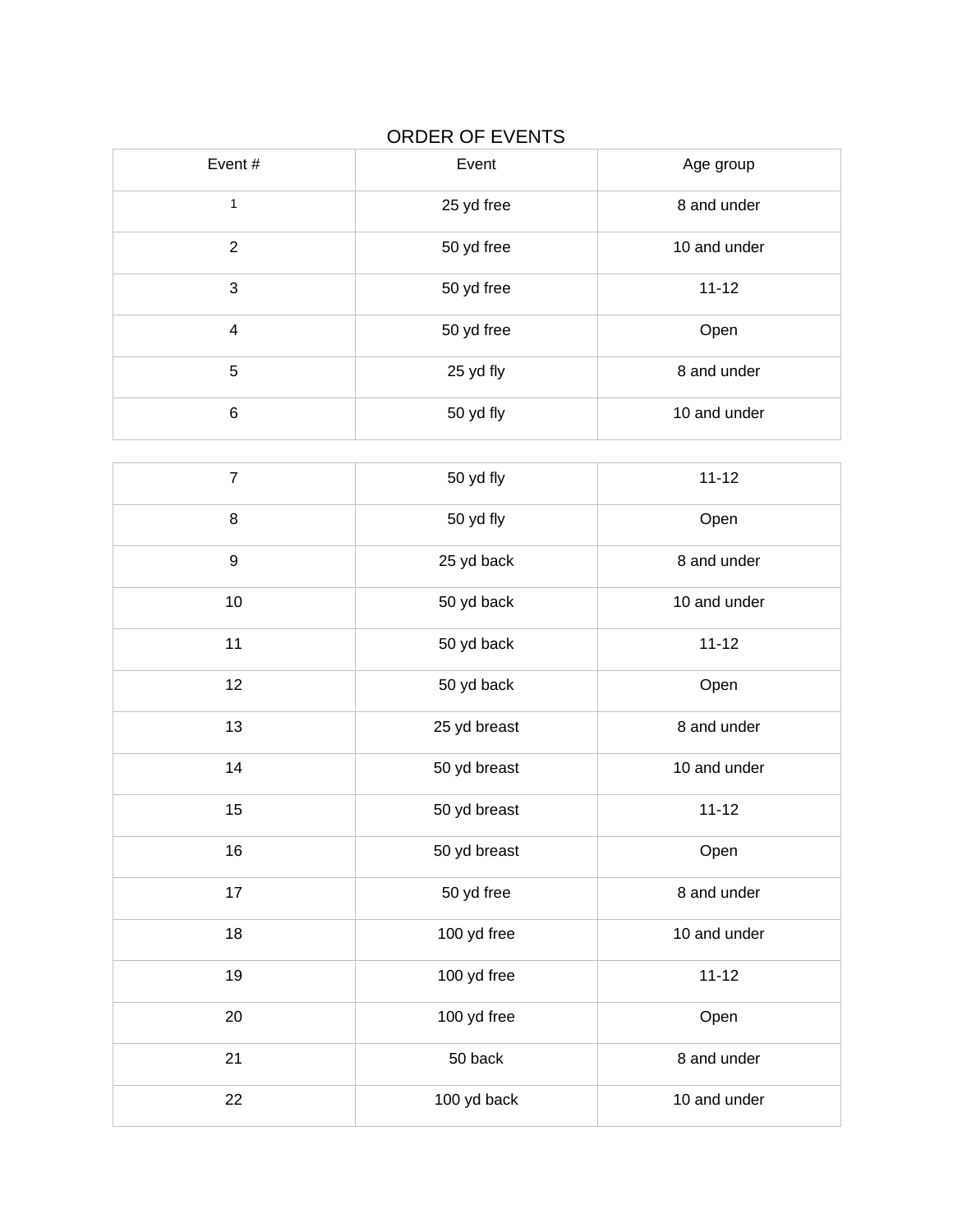## ORDER OF EVENTS

| Event#         | Event      | Age group    |
|----------------|------------|--------------|
| 1              | 25 yd free | 8 and under  |
| $\overline{2}$ | 50 yd free | 10 and under |
| 3              | 50 yd free | $11 - 12$    |
| $\overline{4}$ | 50 yd free | Open         |
| 5              | 25 yd fly  | 8 and under  |
| $\,6$          | 50 yd fly  | 10 and under |

| $\overline{7}$   | 50 yd fly    | $11 - 12$    |
|------------------|--------------|--------------|
| $\,8\,$          | 50 yd fly    | Open         |
| $\boldsymbol{9}$ | 25 yd back   | 8 and under  |
| 10               | 50 yd back   | 10 and under |
| 11               | 50 yd back   | $11 - 12$    |
| 12               | 50 yd back   | Open         |
| 13               | 25 yd breast | 8 and under  |
| 14               | 50 yd breast | 10 and under |
| 15               | 50 yd breast | $11 - 12$    |
| 16               | 50 yd breast | Open         |
| 17               | 50 yd free   | 8 and under  |
| 18               | 100 yd free  | 10 and under |
| 19               | 100 yd free  | $11 - 12$    |
| 20               | 100 yd free  | Open         |
| 21               | 50 back      | 8 and under  |
| 22               | 100 yd back  | 10 and under |